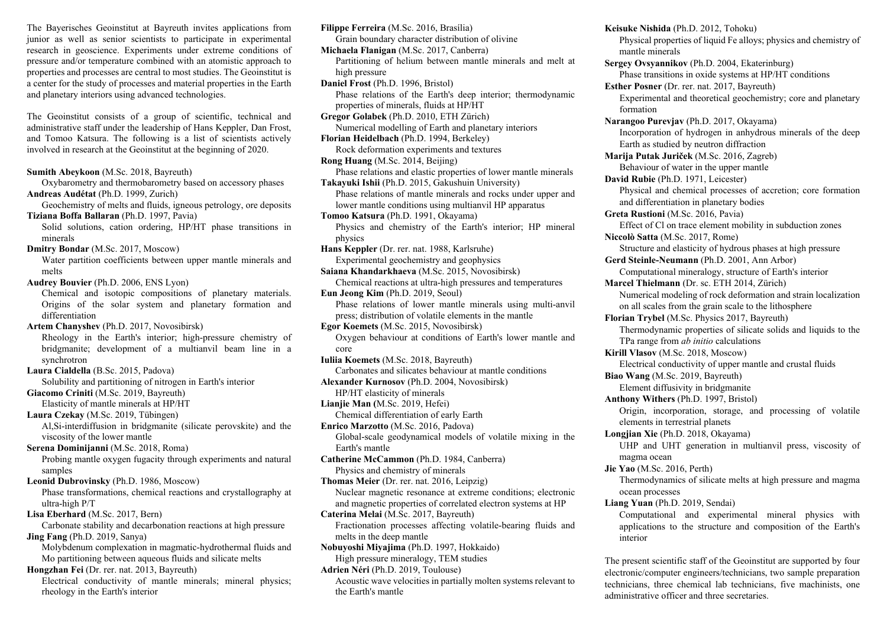The Bayerisches Geoinstitut at Bayreuth invites applications from junior as well as senior scientists to participate in experimental research in geoscience. Experiments under extreme conditions of pressure and/or temperature combined with an atomistic approach to properties and processes are central to most studies. The Geoinstitut is a center for the study of processes and material properties in the Earth and planetary interiors using advanced technologies.

The Geoinstitut consists of a group of scientific, technical and administrative staff under the leadership of Hans Keppler, Dan Frost, and Tomoo Katsura. The following is a list of scientists actively involved in research at the Geoinstitut at the beginning of 2020.

**Sumith Abeykoon** (M.Sc. 2018, Bayreuth) Oxybarometry and thermobarometry based on accessory phases **Andreas Audétat** (Ph.D. 1999, Zurich) Geochemistry of melts and fluids, igneous petrology, ore deposits **Tiziana Boffa Ballaran** (Ph.D. 1997, Pavia) Solid solutions, cation ordering, HP/HT phase transitions in minerals **Dmitry Bondar** (M.Sc. 2017, Moscow) Water partition coefficients between upper mantle minerals and melts **Audrey Bouvier** (Ph.D. 2006, ENS Lyon) Chemical and isotopic compositions of planetary materials. Origins of the solar system and planetary formation and differentiation **Artem Chanyshev** (Ph.D. 2017, Novosibirsk) Rheology in the Earth's interior; high-pressure chemistry of bridgmanite; development of a multianvil beam line in a synchrotron **Laura Cialdella** (B.Sc. 2015, Padova) Solubility and partitioning of nitrogen in Earth's interior **Giacomo Criniti** (M.Sc. 2019, Bayreuth) Elasticity of mantle minerals at HP/HT **Laura Czekay** (M.Sc. 2019, Tübingen) Al,Si-interdiffusion in bridgmanite (silicate perovskite) and the viscosity of the lower mantle **Serena Dominijanni** (M.Sc. 2018, Roma) Probing mantle oxygen fugacity through experiments and natural samples **Leonid Dubrovinsky** (Ph.D. 1986, Moscow) Phase transformations, chemical reactions and crystallography at ultra-high P/T **Lisa Eberhard** (M.Sc. 2017, Bern) Carbonate stability and decarbonation reactions at high pressure **Jing Fang** (Ph.D. 2019, Sanya) Molybdenum complexation in magmatic-hydrothermal fluids and Mo partitioning between aqueous fluids and silicate melts **Hongzhan Fei** (Dr. rer. nat. 2013, Bayreuth) Electrical conductivity of mantle minerals; mineral physics; rheology in the Earth's interior

**Filippe Ferreira** (M.Sc. 2016, Brasília) Grain boundary character distribution of olivine **Michaela Flanigan** (M.Sc. 2017, Canberra) Partitioning of helium between mantle minerals and melt at high pressure **Daniel Frost** (Ph.D. 1996, Bristol) Phase relations of the Earth's deep interior; thermodynamic properties of minerals, fluids at HP/HT **Gregor Golabek** (Ph.D. 2010, ETH Zürich) Numerical modelling of Earth and planetary interiors **Florian Heidelbach** (Ph.D. 1994, Berkeley) Rock deformation experiments and textures **Rong Huang** (M.Sc. 2014, Beijing) Phase relations and elastic properties of lower mantle minerals **Takayuki Ishii** (Ph.D. 2015, Gakushuin University) Phase relations of mantle minerals and rocks under upper and lower mantle conditions using multianvil HP apparatus **Tomoo Katsura** (Ph.D. 1991, Okayama) Physics and chemistry of the Earth's interior; HP mineral physics **Hans Keppler** (Dr. rer. nat. 1988, Karlsruhe) Experimental geochemistry and geophysics **Saiana Khandarkhaeva** (M.Sc. 2015, Novosibirsk) Chemical reactions at ultra-high pressures and temperatures **Eun Jeong Kim** (Ph.D. 2019, Seoul) Phase relations of lower mantle minerals using multi-anvil press; distribution of volatile elements in the mantle **Egor Koemets** (M.Sc. 2015, Novosibirsk) Oxygen behaviour at conditions of Earth's lower mantle and core **Iuliia Koemets** (M.Sc. 2018, Bayreuth) Carbonates and silicates behaviour at mantle conditions **Alexander Kurnosov** (Ph.D. 2004, Novosibirsk) HP/HT elasticity of minerals **Lianjie Man (**M.Sc. 2019, Hefei) Chemical differentiation of early Earth **Enrico Marzotto** (M.Sc. 2016, Padova) Global-scale geodynamical models of volatile mixing in the Earth's mantle **Catherine McCammon** (Ph.D. 1984, Canberra) Physics and chemistry of minerals **Thomas Meier** (Dr. rer. nat. 2016, Leipzig) Nuclear magnetic resonance at extreme conditions; electronic and magnetic properties of correlated electron systems at HP **Caterina Melai** (M.Sc. 2017, Bayreuth) Fractionation processes affecting volatile-bearing fluids and melts in the deep mantle **Nobuyoshi Miyajima** (Ph.D. 1997, Hokkaido) High pressure mineralogy, TEM studies **Adrien Néri** (Ph.D. 2019, Toulouse) Acoustic wave velocities in partially molten systems relevant to the Earth's mantle

**Keisuke Nishida** (Ph.D. 2012, Tohoku) Physical properties of liquid Fe alloys; physics and chemistry of mantle minerals **Sergey Ovsyannikov** (Ph.D. 2004, Ekaterinburg) Phase transitions in oxide systems at HP/HT conditions **Esther Posner** (Dr. rer. nat. 2017, Bayreuth) Experimental and theoretical geochemistry; core and planetary formation **Narangoo Purevjav** (Ph.D. 2017, Okayama) Incorporation of hydrogen in anhydrous minerals of the deep Earth as studied by neutron diffraction **Marija Putak Juriček** (M.Sc. 2016, Zagreb) Behaviour of water in the upper mantle **David Rubie** (Ph.D. 1971, Leicester) Physical and chemical processes of accretion; core formation and differentiation in planetary bodies **Greta Rustioni** (M.Sc. 2016, Pavia) Effect of Cl on trace element mobility in subduction zones **Niccolò Satta** (M.Sc. 2017, Rome) Structure and elasticity of hydrous phases at high pressure **Gerd Steinle-Neumann** (Ph.D. 2001, Ann Arbor) Computational mineralogy, structure of Earth's interior **Marcel Thielmann** (Dr. sc. ETH 2014, Zürich) Numerical modeling of rock deformation and strain localization on all scales from the grain scale to the lithosphere **Florian Trybel** (M.Sc. Physics 2017, Bayreuth) Thermodynamic properties of silicate solids and liquids to the TPa range from *ab initio* calculations **Kirill Vlasov** (M.Sc. 2018, Moscow) Electrical conductivity of upper mantle and crustal fluids **Biao Wang** (M.Sc. 2019, Bayreuth) Element diffusivity in bridgmanite **Anthony Withers** (Ph.D. 1997, Bristol) Origin, incorporation, storage, and processing of volatile elements in terrestrial planets **Longjian Xie** (Ph.D. 2018, Okayama) UHP and UHT generation in multianvil press, viscosity of magma ocean **Jie Yao** (M.Sc. 2016, Perth) Thermodynamics of silicate melts at high pressure and magma ocean processes **Liang Yuan** (Ph.D. 2019, Sendai) Computational and experimental mineral physics with applications to the structure and composition of the Earth's interior The present scientific staff of the Geoinstitut are supported by four

electronic/computer engineers/technicians, two sample preparation technicians, three chemical lab technicians, five machinists, one administrative officer and three secretaries.